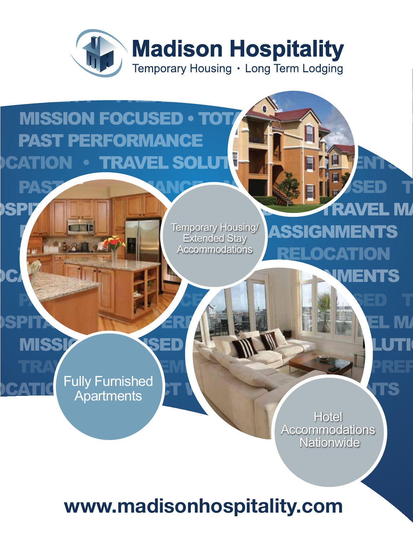

## HOSPITALITY PREFERRED VENDOR TRAVEL MANAGEMENT **MISSION FOCUSED . TOT** PAST PERFORMANCE **RELATION . TRAVEL SOLUT**

Extended Stay **Accommodations** Temporary Housing/

PROJECT WORKS

ASPITALITY PREFERRED VENDOR TRAVEL MANAGEMENT PREFERRED VENDOR TRAVEL MANAGEMENT PREFERRED VENDOR TRAVEL MANAGEMENT PREFERRED VENDOR TRAVEL MANAGEMENT PREFERRED VENDOR TRAVEL MANAGEMENT PREFERRED VENDOR TRAVEL MANAGEMENT P

**SPITALIT IN HOSPITALITY PREFERRAVEL MANAGEMENT IN POSTER** 

**OCATION ASSIGNMENTS** 

PAST PERFORMANCE MISSION FORMANCE

PAST PERFORMANCE MISSION FORMAT RELEASED TO

**MENTS** 

TRAVEL MANAGEMENT HOSPITALITY PREF **CATIC** Fully Full listing **FT New York Assistance Contract of ASSIGN ASSIGNMENTS** Fully Furnished **Apartments** 

PASSIC PROPERTY FOR THE MISSION FORMS FOR THE RESIDENCE MINI-

**CATION** 

**Hotel Accommodations Nationwide** 

**www.madisonhospitality.com**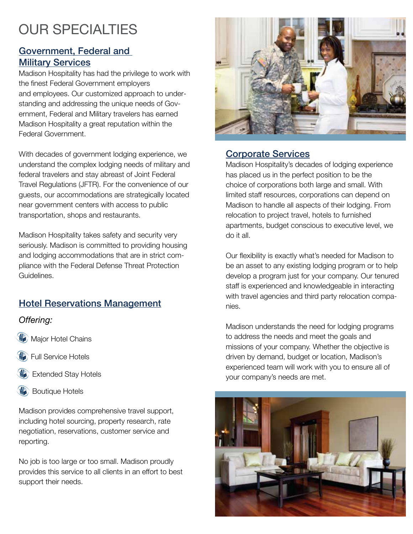## **OUR SPECIALTIES**

#### Government, Federal and **Military Services**

Madison Hospitality has had the privilege to work with the finest Federal Government employers and employees. Our customized approach to understanding and addressing the unique needs of Government, Federal and Military travelers has earned Madison Hospitality a great reputation within the Federal Government.

With decades of government lodging experience, we understand the complex lodging needs of military and federal travelers and stay abreast of Joint Federal Travel Regulations (JFTR). For the convenience of our guests, our accommodations are strategically located near government centers with access to public transportation, shops and restaurants.

Madison Hospitality takes safety and security very seriously. Madison is committed to providing housing and lodging accommodations that are in strict compliance with the Federal Defense Threat Protection Guidelines.

#### Hotel Reservations Management

#### *Offering:*

- **Major Hotel Chains**
- Full Service Hotels
- Extended Stay Hotels
- Boutique Hotels

Madison provides comprehensive travel support, including hotel sourcing, property research, rate negotiation, reservations, customer service and reporting.

No job is too large or too small. Madison proudly provides this service to all clients in an effort to best support their needs.



#### Corporate Services

Madison Hospitality's decades of lodging experience has placed us in the perfect position to be the choice of corporations both large and small. With limited staff resources, corporations can depend on Madison to handle all aspects of their lodging. From relocation to project travel, hotels to furnished apartments, budget conscious to executive level, we do it all.

Our flexibility is exactly what's needed for Madison to be an asset to any existing lodging program or to help develop a program just for your company. Our tenured staff is experienced and knowledgeable in interacting with travel agencies and third party relocation companies.

Madison understands the need for lodging programs to address the needs and meet the goals and missions of your company. Whether the objective is driven by demand, budget or location, Madison's experienced team will work with you to ensure all of your company's needs are met.

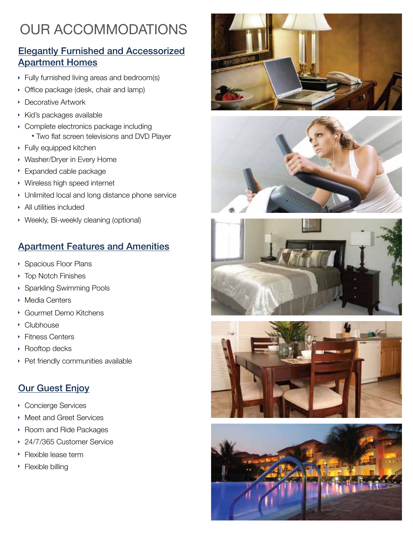## **OUR ACCOMMODATIONS**

#### Elegantly Furnished and Accessorized Apartment Homes

- Fully furnished living areas and bedroom(s)
- **Office package (desk, chair and lamp)**
- **Decorative Artwork**
- **Kid's packages available**
- Complete electronics package including Two flat screen televisions and DVD Player
- Fully equipped kitchen
- Washer/Dryer in Every Home
- Expanded cable package
- Wireless high speed internet
- Unlimited local and long distance phone service
- All utilities included
- Weekly, Bi-weekly cleaning (optional)

#### Apartment Features and Amenities

- Spacious Floor Plans
- Top Notch Finishes
- Sparkling Swimming Pools
- Media Centers
- Gourmet Demo Kitchens
- Clubhouse
- ▶ Fitness Centers
- Rooftop decks
- Pet friendly communities available

#### **Our Guest Enjoy**

- Concierge Services
- Meet and Greet Services
- ▶ Room and Ride Packages
- 24/7/365 Customer Service k
- **Flexible lease term**
- **Flexible billing**